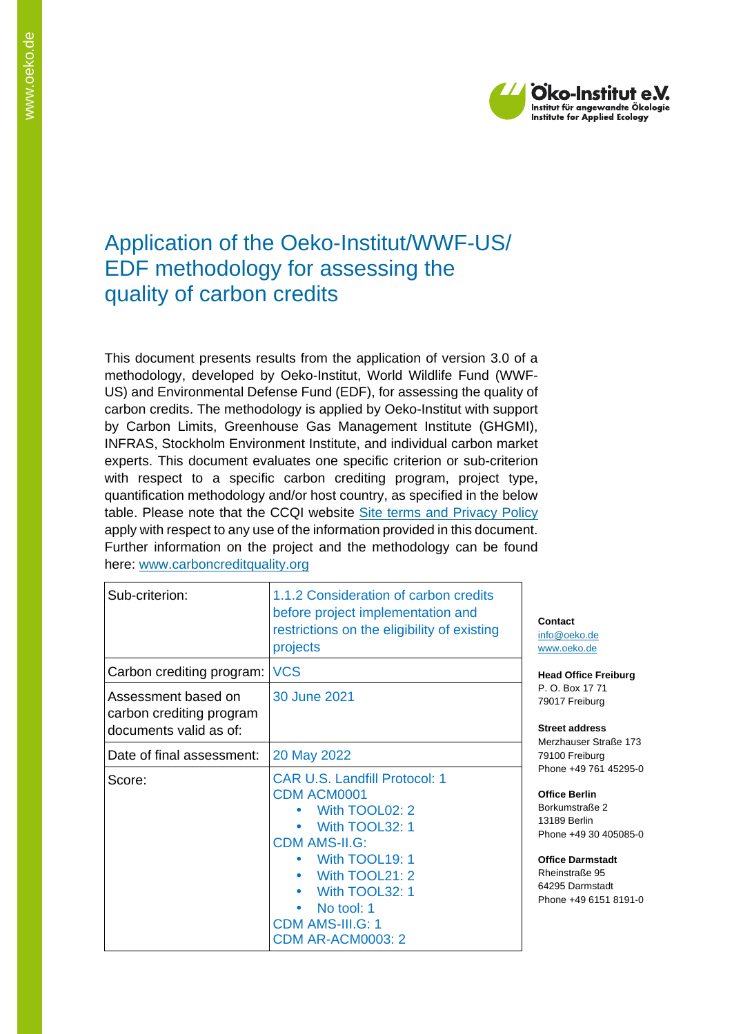

## Application of the Oeko-Institut/WWF-US/ EDF methodology for assessing the quality of carbon credits

This document presents results from the application of version 3.0 of a methodology, developed by Oeko-Institut, World Wildlife Fund (WWF-US) and Environmental Defense Fund (EDF), for assessing the quality of carbon credits. The methodology is applied by Oeko-Institut with support by Carbon Limits, Greenhouse Gas Management Institute (GHGMI), INFRAS, Stockholm Environment Institute, and individual carbon market experts. This document evaluates one specific criterion or sub-criterion with respect to a specific carbon crediting program, project type, quantification methodology and/or host country, as specified in the below table. Please note that the CCQI website [Site terms and Privacy Policy](https://carboncreditquality.org/terms.html) apply with respect to any use of the information provided in this document. Further information on the project and the methodology can be found here: [www.carboncreditquality.org](http://www.carboncreditquality.org/)

| Sub-criterion:                                                            | 1.1.2 Consideration of carbon credits<br>before project implementation and<br>restrictions on the eligibility of existing<br>projects                                                                                                             | Contact<br>info@oek<br>www.oeko                                                                                                      |
|---------------------------------------------------------------------------|---------------------------------------------------------------------------------------------------------------------------------------------------------------------------------------------------------------------------------------------------|--------------------------------------------------------------------------------------------------------------------------------------|
| Carbon crediting program:                                                 | <b>VCS</b>                                                                                                                                                                                                                                        | <b>Head Offi</b>                                                                                                                     |
| Assessment based on<br>carbon crediting program<br>documents valid as of: | 30 June 2021                                                                                                                                                                                                                                      | P.O. Box<br>79017 Fre<br>Street ad<br>Merzhaus                                                                                       |
| Date of final assessment:                                                 | 20 May 2022                                                                                                                                                                                                                                       | 79100 Fre                                                                                                                            |
| Score:                                                                    | <b>CAR U.S. Landfill Protocol: 1</b><br><b>CDM ACM0001</b><br>With TOOL02: 2<br>With TOOL32: 1<br><b>CDM AMS-II.G:</b><br>With TOOL19: 1<br>With TOOL21: 2<br>With TOOL32: 1<br>No tool: 1<br><b>CDM AMS-III.G: 1</b><br><b>CDM AR-ACM0003: 2</b> | Phone $+4$<br><b>Office Be</b><br><b>Borkumst</b><br>13189 Be<br>Phone +4<br><b>Office Da</b><br>Rheinstra<br>64295 Da<br>Phone $+4$ |

o.de o.de

**Read Freiburg** 17 71 <sub>P</sub>iburg

**Street address** er Straße 173 79100 Freiburg 9 761 45295-0

**Office Berlin** raße 2 rlin 9 30 405085-0

**Office Darmstadt Re** 95 mstadt 9 6151 8191-0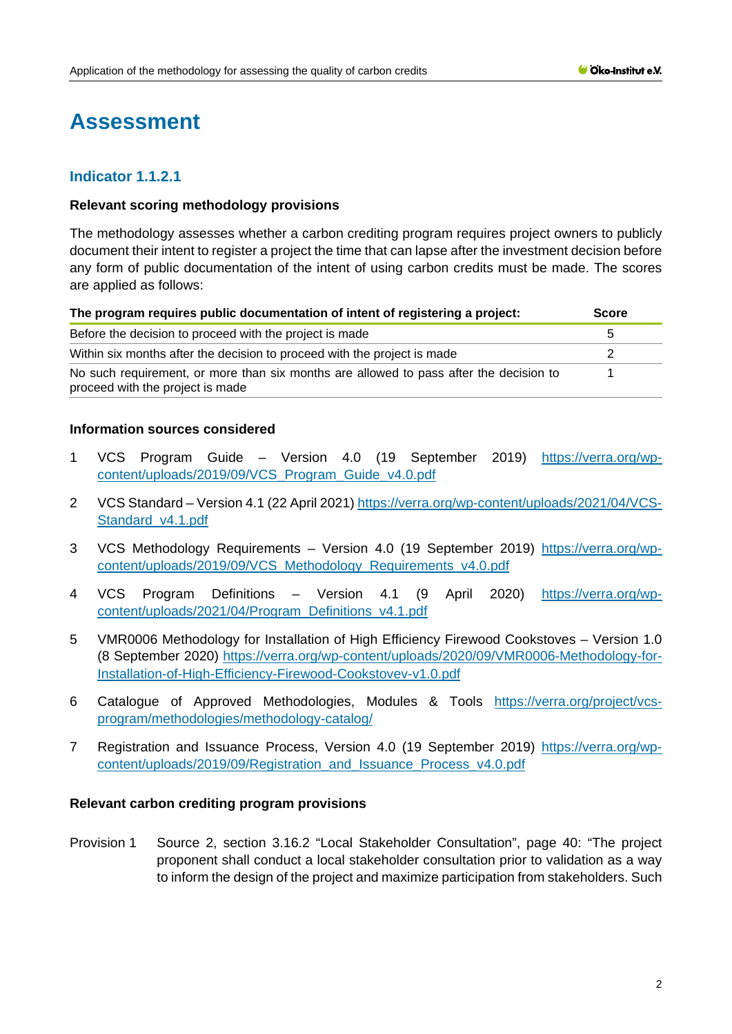# **Assessment**

## **Indicator 1.1.2.1**

## **Relevant scoring methodology provisions**

The methodology assesses whether a carbon crediting program requires project owners to publicly document their intent to register a project the time that can lapse after the investment decision before any form of public documentation of the intent of using carbon credits must be made. The scores are applied as follows:

| The program requires public documentation of intent of registering a project:                                              |  |  |
|----------------------------------------------------------------------------------------------------------------------------|--|--|
| Before the decision to proceed with the project is made                                                                    |  |  |
| Within six months after the decision to proceed with the project is made                                                   |  |  |
| No such requirement, or more than six months are allowed to pass after the decision to<br>proceed with the project is made |  |  |

#### **Information sources considered**

- 1 VCS Program Guide Version 4.0 (19 September 2019) [https://verra.org/wp](https://verra.org/wp-content/uploads/2019/09/VCS_Program_Guide_v4.0.pdf)[content/uploads/2019/09/VCS\\_Program\\_Guide\\_v4.0.pdf](https://verra.org/wp-content/uploads/2019/09/VCS_Program_Guide_v4.0.pdf)
- 2 VCS Standard Version 4.1 (22 April 2021) [https://verra.org/wp-content/uploads/2021/04/VCS-](https://verra.org/wp-content/uploads/2021/04/VCS-Standard_v4.1.pdf)[Standard\\_v4.1.pdf](https://verra.org/wp-content/uploads/2021/04/VCS-Standard_v4.1.pdf)
- 3 VCS Methodology Requirements Version 4.0 (19 September 2019) [https://verra.org/wp](https://verra.org/wp-content/uploads/2019/09/VCS_Methodology_Requirements_v4.0.pdf)[content/uploads/2019/09/VCS\\_Methodology\\_Requirements\\_v4.0.pdf](https://verra.org/wp-content/uploads/2019/09/VCS_Methodology_Requirements_v4.0.pdf)
- 4 VCS Program Definitions Version 4.1 (9 April 2020) [https://verra.org/wp](https://verra.org/wp-content/uploads/2021/04/Program_Definitions_v4.1.pdf)[content/uploads/2021/04/Program\\_Definitions\\_v4.1.pdf](https://verra.org/wp-content/uploads/2021/04/Program_Definitions_v4.1.pdf)
- 5 VMR0006 Methodology for Installation of High Efficiency Firewood Cookstoves Version 1.0 (8 September 2020) [https://verra.org/wp-content/uploads/2020/09/VMR0006-Methodology-for-](https://verra.org/wp-content/uploads/2020/09/VMR0006-Methodology-for-Installation-of-High-Efficiency-Firewood-Cookstovev-v1.0.pdf)[Installation-of-High-Efficiency-Firewood-Cookstovev-v1.0.pdf](https://verra.org/wp-content/uploads/2020/09/VMR0006-Methodology-for-Installation-of-High-Efficiency-Firewood-Cookstovev-v1.0.pdf)
- 6 Catalogue of Approved Methodologies, Modules & Tools [https://verra.org/project/vcs](https://verra.org/project/vcs-program/methodologies/methodology-catalog/)[program/methodologies/methodology-catalog/](https://verra.org/project/vcs-program/methodologies/methodology-catalog/)
- 7 Registration and Issuance Process, Version 4.0 (19 September 2019) [https://verra.org/wp](https://verra.org/wp-content/uploads/2019/09/Registration_and_Issuance_Process_v4.0.pdf)[content/uploads/2019/09/Registration\\_and\\_Issuance\\_Process\\_v4.0.pdf](https://verra.org/wp-content/uploads/2019/09/Registration_and_Issuance_Process_v4.0.pdf)

## **Relevant carbon crediting program provisions**

Provision 1 Source 2, section 3.16.2 "Local Stakeholder Consultation", page 40: "The project proponent shall conduct a local stakeholder consultation prior to validation as a way to inform the design of the project and maximize participation from stakeholders. Such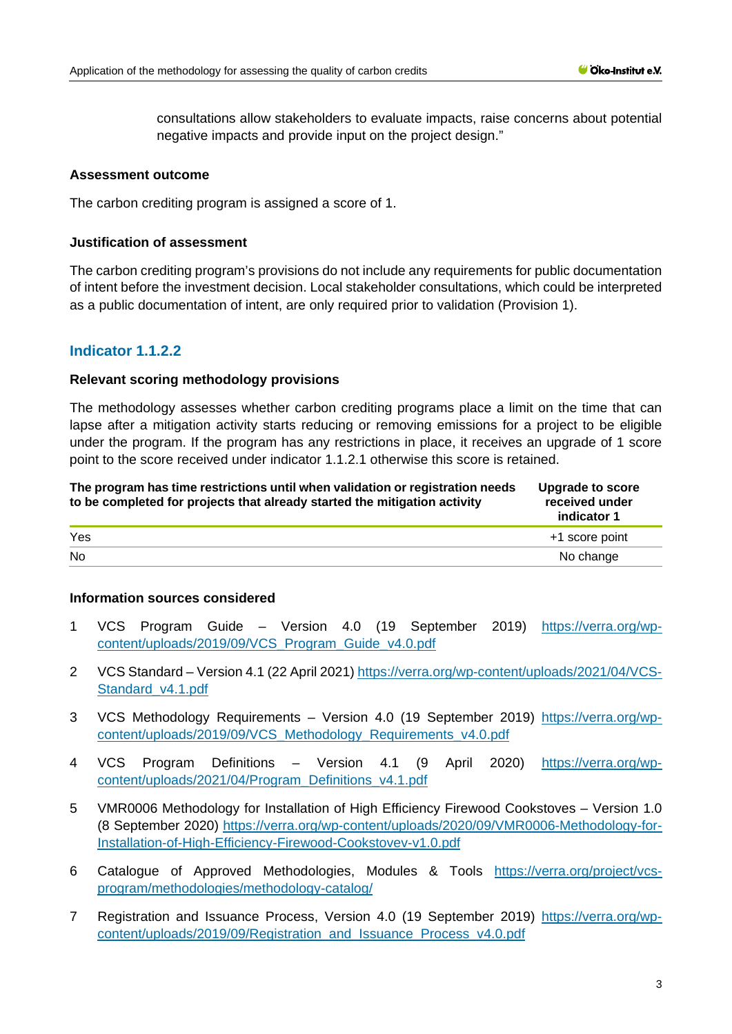consultations allow stakeholders to evaluate impacts, raise concerns about potential negative impacts and provide input on the project design."

## **Assessment outcome**

The carbon crediting program is assigned a score of 1.

## **Justification of assessment**

The carbon crediting program's provisions do not include any requirements for public documentation of intent before the investment decision. Local stakeholder consultations, which could be interpreted as a public documentation of intent, are only required prior to validation (Provision 1).

## **Indicator 1.1.2.2**

## **Relevant scoring methodology provisions**

The methodology assesses whether carbon crediting programs place a limit on the time that can lapse after a mitigation activity starts reducing or removing emissions for a project to be eligible under the program. If the program has any restrictions in place, it receives an upgrade of 1 score point to the score received under indicator 1.1.2.1 otherwise this score is retained.

| The program has time restrictions until when validation or registration needs<br>to be completed for projects that already started the mitigation activity | Upgrade to score<br>received under<br>indicator 1 |
|------------------------------------------------------------------------------------------------------------------------------------------------------------|---------------------------------------------------|
| Yes                                                                                                                                                        | +1 score point                                    |
| <b>No</b>                                                                                                                                                  | No change                                         |

## **Information sources considered**

- 1 VCS Program Guide Version 4.0 (19 September 2019) [https://verra.org/wp](https://verra.org/wp-content/uploads/2019/09/VCS_Program_Guide_v4.0.pdf)[content/uploads/2019/09/VCS\\_Program\\_Guide\\_v4.0.pdf](https://verra.org/wp-content/uploads/2019/09/VCS_Program_Guide_v4.0.pdf)
- 2 VCS Standard Version 4.1 (22 April 2021) [https://verra.org/wp-content/uploads/2021/04/VCS-](https://verra.org/wp-content/uploads/2021/04/VCS-Standard_v4.1.pdf)[Standard\\_v4.1.pdf](https://verra.org/wp-content/uploads/2021/04/VCS-Standard_v4.1.pdf)
- 3 VCS Methodology Requirements Version 4.0 (19 September 2019) [https://verra.org/wp](https://verra.org/wp-content/uploads/2019/09/VCS_Methodology_Requirements_v4.0.pdf)[content/uploads/2019/09/VCS\\_Methodology\\_Requirements\\_v4.0.pdf](https://verra.org/wp-content/uploads/2019/09/VCS_Methodology_Requirements_v4.0.pdf)
- 4 VCS Program Definitions Version 4.1 (9 April 2020) [https://verra.org/wp](https://verra.org/wp-content/uploads/2021/04/Program_Definitions_v4.1.pdf)[content/uploads/2021/04/Program\\_Definitions\\_v4.1.pdf](https://verra.org/wp-content/uploads/2021/04/Program_Definitions_v4.1.pdf)
- 5 VMR0006 Methodology for Installation of High Efficiency Firewood Cookstoves Version 1.0 (8 September 2020) [https://verra.org/wp-content/uploads/2020/09/VMR0006-Methodology-for-](https://verra.org/wp-content/uploads/2020/09/VMR0006-Methodology-for-Installation-of-High-Efficiency-Firewood-Cookstovev-v1.0.pdf)[Installation-of-High-Efficiency-Firewood-Cookstovev-v1.0.pdf](https://verra.org/wp-content/uploads/2020/09/VMR0006-Methodology-for-Installation-of-High-Efficiency-Firewood-Cookstovev-v1.0.pdf)
- 6 Catalogue of Approved Methodologies, Modules & Tools [https://verra.org/project/vcs](https://verra.org/project/vcs-program/methodologies/methodology-catalog/)[program/methodologies/methodology-catalog/](https://verra.org/project/vcs-program/methodologies/methodology-catalog/)
- 7 Registration and Issuance Process, Version 4.0 (19 September 2019) [https://verra.org/wp](https://verra.org/wp-content/uploads/2019/09/Registration_and_Issuance_Process_v4.0.pdf)[content/uploads/2019/09/Registration\\_and\\_Issuance\\_Process\\_v4.0.pdf](https://verra.org/wp-content/uploads/2019/09/Registration_and_Issuance_Process_v4.0.pdf)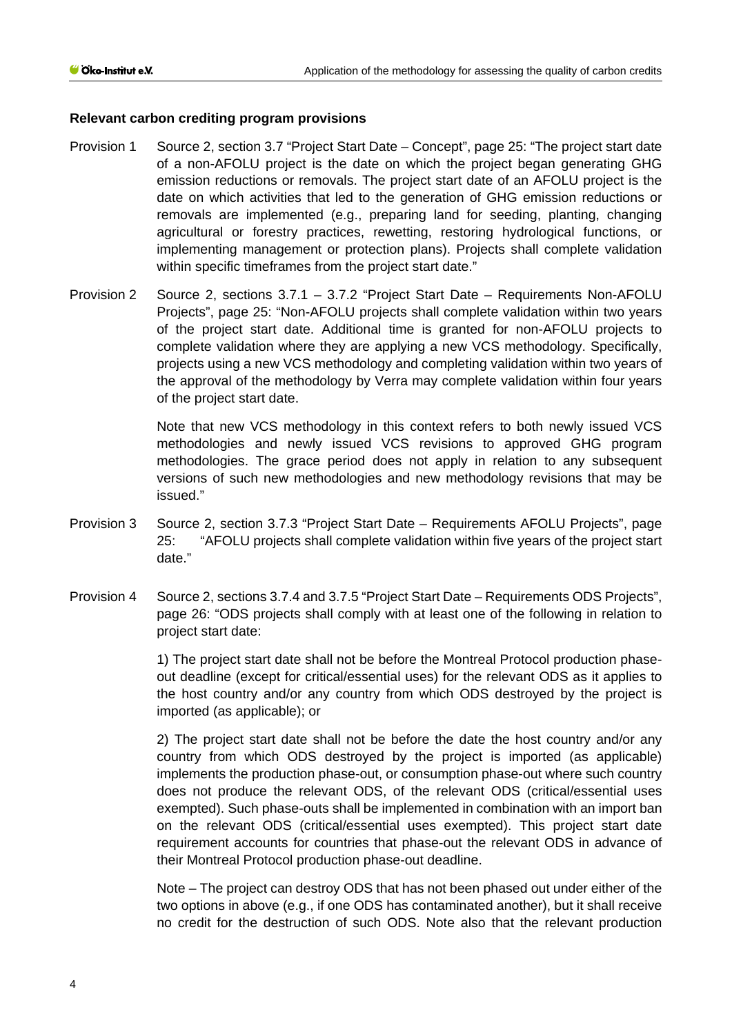#### **Relevant carbon crediting program provisions**

- Provision 1 Source 2, section 3.7 "Project Start Date Concept", page 25: "The project start date of a non-AFOLU project is the date on which the project began generating GHG emission reductions or removals. The project start date of an AFOLU project is the date on which activities that led to the generation of GHG emission reductions or removals are implemented (e.g., preparing land for seeding, planting, changing agricultural or forestry practices, rewetting, restoring hydrological functions, or implementing management or protection plans). Projects shall complete validation within specific timeframes from the project start date."
- Provision 2 Source 2, sections 3.7.1 3.7.2 "Project Start Date Requirements Non-AFOLU Projects", page 25: "Non-AFOLU projects shall complete validation within two years of the project start date. Additional time is granted for non-AFOLU projects to complete validation where they are applying a new VCS methodology. Specifically, projects using a new VCS methodology and completing validation within two years of the approval of the methodology by Verra may complete validation within four years of the project start date.

Note that new VCS methodology in this context refers to both newly issued VCS methodologies and newly issued VCS revisions to approved GHG program methodologies. The grace period does not apply in relation to any subsequent versions of such new methodologies and new methodology revisions that may be issued."

- Provision 3 Source 2, section 3.7.3 "Project Start Date Requirements AFOLU Projects", page 25: "AFOLU projects shall complete validation within five years of the project start date."
- Provision 4 Source 2, sections 3.7.4 and 3.7.5 "Project Start Date Requirements ODS Projects", page 26: "ODS projects shall comply with at least one of the following in relation to project start date:

1) The project start date shall not be before the Montreal Protocol production phaseout deadline (except for critical/essential uses) for the relevant ODS as it applies to the host country and/or any country from which ODS destroyed by the project is imported (as applicable); or

2) The project start date shall not be before the date the host country and/or any country from which ODS destroyed by the project is imported (as applicable) implements the production phase-out, or consumption phase-out where such country does not produce the relevant ODS, of the relevant ODS (critical/essential uses exempted). Such phase-outs shall be implemented in combination with an import ban on the relevant ODS (critical/essential uses exempted). This project start date requirement accounts for countries that phase-out the relevant ODS in advance of their Montreal Protocol production phase-out deadline.

Note – The project can destroy ODS that has not been phased out under either of the two options in above (e.g., if one ODS has contaminated another), but it shall receive no credit for the destruction of such ODS. Note also that the relevant production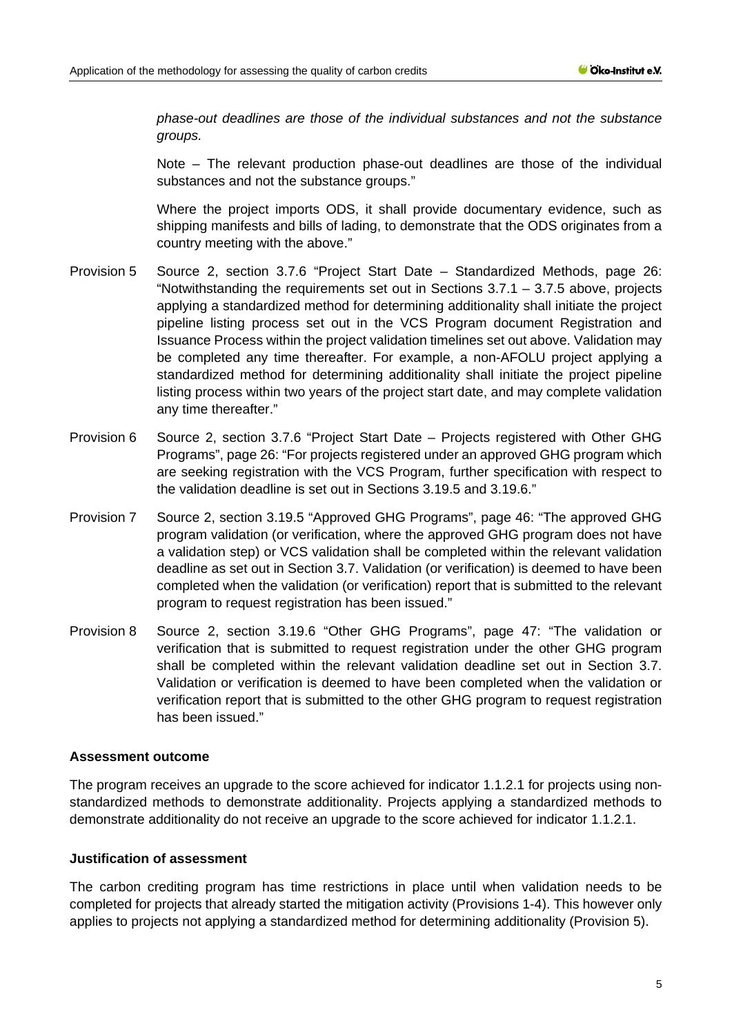*phase-out deadlines are those of the individual substances and not the substance groups.*

Note – The relevant production phase-out deadlines are those of the individual substances and not the substance groups."

Where the project imports ODS, it shall provide documentary evidence, such as shipping manifests and bills of lading, to demonstrate that the ODS originates from a country meeting with the above."

- Provision 5 Source 2, section 3.7.6 "Project Start Date Standardized Methods, page 26: "Notwithstanding the requirements set out in Sections 3.7.1 – 3.7.5 above, projects applying a standardized method for determining additionality shall initiate the project pipeline listing process set out in the VCS Program document Registration and Issuance Process within the project validation timelines set out above. Validation may be completed any time thereafter. For example, a non-AFOLU project applying a standardized method for determining additionality shall initiate the project pipeline listing process within two years of the project start date, and may complete validation any time thereafter."
- Provision 6 Source 2, section 3.7.6 "Project Start Date Projects registered with Other GHG Programs", page 26: "For projects registered under an approved GHG program which are seeking registration with the VCS Program, further specification with respect to the validation deadline is set out in Sections 3.19.5 and 3.19.6."
- Provision 7 Source 2, section 3.19.5 "Approved GHG Programs", page 46: "The approved GHG program validation (or verification, where the approved GHG program does not have a validation step) or VCS validation shall be completed within the relevant validation deadline as set out in Section 3.7. Validation (or verification) is deemed to have been completed when the validation (or verification) report that is submitted to the relevant program to request registration has been issued."
- Provision 8 Source 2, section 3.19.6 "Other GHG Programs", page 47: "The validation or verification that is submitted to request registration under the other GHG program shall be completed within the relevant validation deadline set out in Section 3.7. Validation or verification is deemed to have been completed when the validation or verification report that is submitted to the other GHG program to request registration has been issued."

#### **Assessment outcome**

The program receives an upgrade to the score achieved for indicator 1.1.2.1 for projects using nonstandardized methods to demonstrate additionality. Projects applying a standardized methods to demonstrate additionality do not receive an upgrade to the score achieved for indicator 1.1.2.1.

## **Justification of assessment**

The carbon crediting program has time restrictions in place until when validation needs to be completed for projects that already started the mitigation activity (Provisions 1-4). This however only applies to projects not applying a standardized method for determining additionality (Provision 5).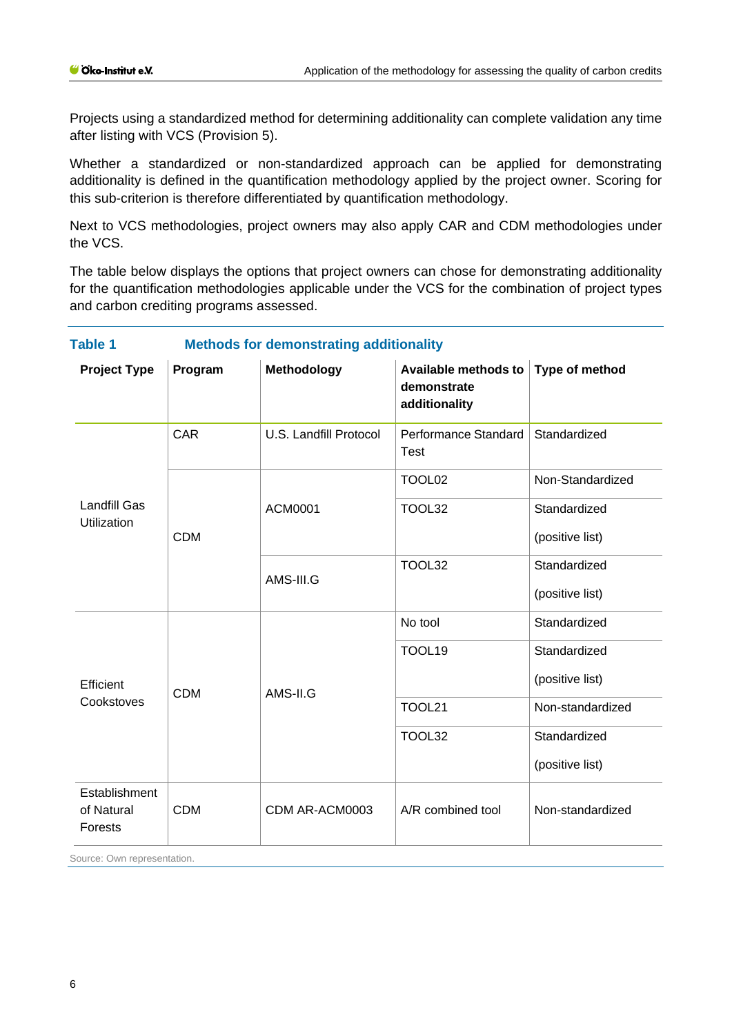Projects using a standardized method for determining additionality can complete validation any time after listing with VCS (Provision 5).

Whether a standardized or non-standardized approach can be applied for demonstrating additionality is defined in the quantification methodology applied by the project owner. Scoring for this sub-criterion is therefore differentiated by quantification methodology.

Next to VCS methodologies, project owners may also apply CAR and CDM methodologies under the VCS.

The table below displays the options that project owners can chose for demonstrating additionality for the quantification methodologies applicable under the VCS for the combination of project types and carbon crediting programs assessed.

| <b>Methods for demonstrating additionality</b><br><b>Table 1</b> |            |                        |                                                      |                  |
|------------------------------------------------------------------|------------|------------------------|------------------------------------------------------|------------------|
| <b>Project Type</b>                                              | Program    | Methodology            | Available methods to<br>demonstrate<br>additionality | Type of method   |
| <b>Landfill Gas</b><br><b>Utilization</b>                        | <b>CAR</b> | U.S. Landfill Protocol | Performance Standard<br><b>Test</b>                  | Standardized     |
|                                                                  | <b>CDM</b> | <b>ACM0001</b>         | TOOL02                                               | Non-Standardized |
|                                                                  |            |                        | TOOL32                                               | Standardized     |
|                                                                  |            |                        |                                                      | (positive list)  |
|                                                                  |            | AMS-III.G              | TOOL32                                               | Standardized     |
|                                                                  |            |                        |                                                      | (positive list)  |
| Efficient<br>Cookstoves                                          | <b>CDM</b> | AMS-II.G               | No tool                                              | Standardized     |
|                                                                  |            |                        | TOOL19                                               | Standardized     |
|                                                                  |            |                        |                                                      | (positive list)  |
|                                                                  |            |                        | <b>TOOL21</b>                                        | Non-standardized |
|                                                                  |            |                        | TOOL32                                               | Standardized     |
|                                                                  |            |                        |                                                      | (positive list)  |
| Establishment<br>of Natural<br>Forests                           | <b>CDM</b> | CDM AR-ACM0003         | A/R combined tool                                    | Non-standardized |

Source: Own representation.